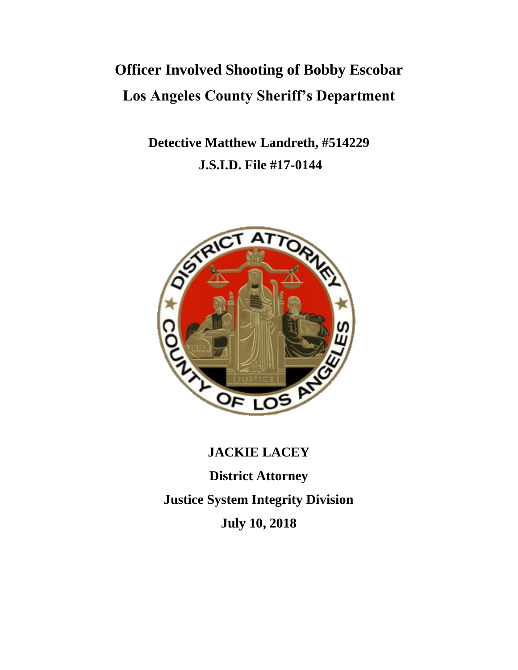# **Officer Involved Shooting of Bobby Escobar Los Angeles County Sheriff's Department**

**Detective Matthew Landreth, #514229 J.S.I.D. File #17-0144**



# **JACKIE LACEY**

**District Attorney Justice System Integrity Division July 10, 2018**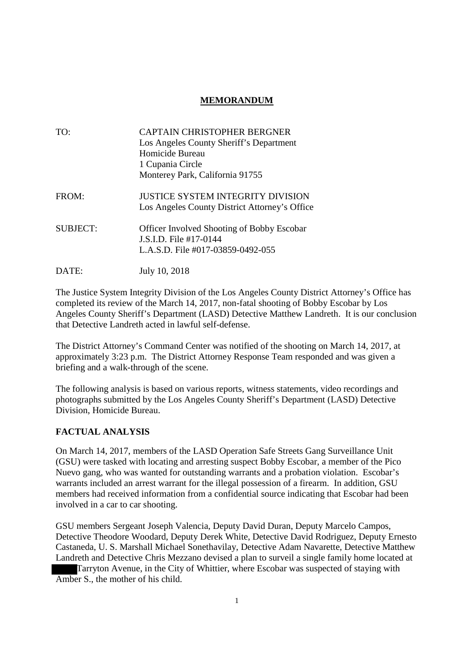## **MEMORANDUM**

| TO:             | CAPTAIN CHRISTOPHER BERGNER<br>Los Angeles County Sheriff's Department<br>Homicide Bureau<br>1 Cupania Circle    |
|-----------------|------------------------------------------------------------------------------------------------------------------|
|                 | Monterey Park, California 91755                                                                                  |
| FROM:           | JUSTICE SYSTEM INTEGRITY DIVISION<br>Los Angeles County District Attorney's Office                               |
| <b>SUBJECT:</b> | <b>Officer Involved Shooting of Bobby Escobar</b><br>J.S.I.D. File #17-0144<br>L.A.S.D. File #017-03859-0492-055 |

DATE: July 10, 2018

The Justice System Integrity Division of the Los Angeles County District Attorney's Office has completed its review of the March 14, 2017, non-fatal shooting of Bobby Escobar by Los Angeles County Sheriff's Department (LASD) Detective Matthew Landreth. It is our conclusion that Detective Landreth acted in lawful self-defense.

The District Attorney's Command Center was notified of the shooting on March 14, 2017, at approximately 3:23 p.m. The District Attorney Response Team responded and was given a briefing and a walk-through of the scene.

The following analysis is based on various reports, witness statements, video recordings and photographs submitted by the Los Angeles County Sheriff's Department (LASD) Detective Division, Homicide Bureau.

#### **FACTUAL ANALYSIS**

On March 14, 2017, members of the LASD Operation Safe Streets Gang Surveillance Unit (GSU) were tasked with locating and arresting suspect Bobby Escobar, a member of the Pico Nuevo gang, who was wanted for outstanding warrants and a probation violation. Escobar's warrants included an arrest warrant for the illegal possession of a firearm. In addition, GSU members had received information from a confidential source indicating that Escobar had been involved in a car to car shooting.

GSU members Sergeant Joseph Valencia, Deputy David Duran, Deputy Marcelo Campos, Detective Theodore Woodard, Deputy Derek White, Detective David Rodriguez, Deputy Ernesto Castaneda, U. S. Marshall Michael Sonethavilay, Detective Adam Navarette, Detective Matthew Landreth and Detective Chris Mezzano devised a plan to surveil a single family home located at Tarryton Avenue, in the City of Whittier, where Escobar was suspected of staying with Amber S., the mother of his child.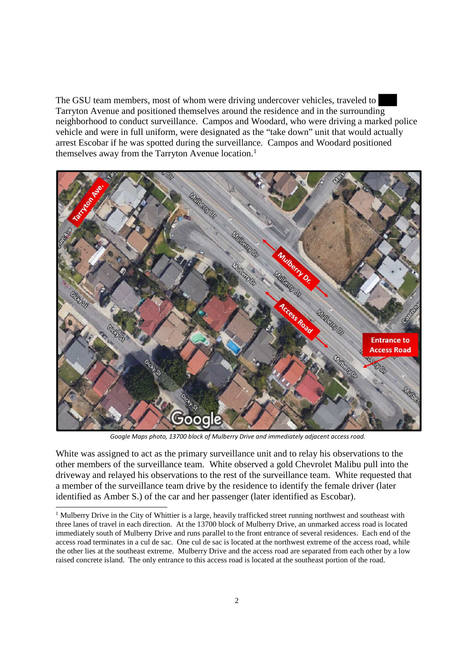The GSU team members, most of whom were driving undercover vehicles, traveled to Tarryton Avenue and positioned themselves around the residence and in the surrounding neighborhood to conduct surveillance. Campos and Woodard, who were driving a marked police vehicle and were in full uniform, were designated as the "take down" unit that would actually arrest Escobar if he was spotted during the surveillance. Campos and Woodard positioned themselves away from the Tarryton Avenue location.<sup>1</sup>



*Google Maps photo, 13700 block of Mulberry Drive and immediately adjacent access road.*

White was assigned to act as the primary surveillance unit and to relay his observations to the other members of the surveillance team. White observed a gold Chevrolet Malibu pull into the driveway and relayed his observations to the rest of the surveillance team. White requested that a member of the surveillance team drive by the residence to identify the female driver (later identified as Amber S.) of the car and her passenger (later identified as Escobar).

<sup>&</sup>lt;sup>1</sup> Mulberry Drive in the City of Whittier is a large, heavily trafficked street running northwest and southeast with three lanes of travel in each direction. At the 13700 block of Mulberry Drive, an unmarked access road is located immediately south of Mulberry Drive and runs parallel to the front entrance of several residences. Each end of the access road terminates in a cul de sac. One cul de sac is located at the northwest extreme of the access road, while the other lies at the southeast extreme. Mulberry Drive and the access road are separated from each other by a low raised concrete island. The only entrance to this access road is located at the southeast portion of the road.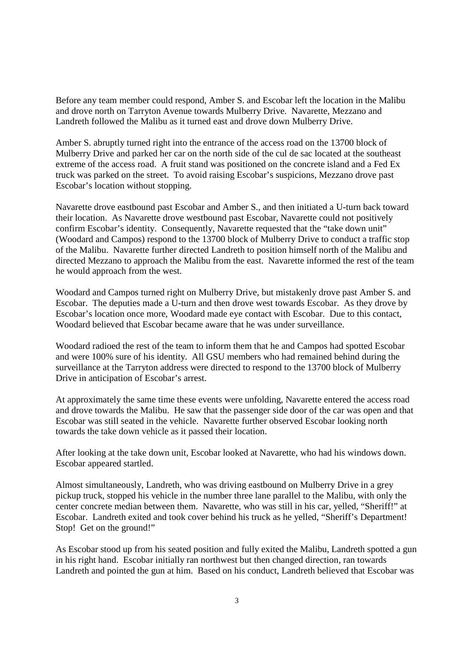Before any team member could respond, Amber S. and Escobar left the location in the Malibu and drove north on Tarryton Avenue towards Mulberry Drive. Navarette, Mezzano and Landreth followed the Malibu as it turned east and drove down Mulberry Drive.

Amber S. abruptly turned right into the entrance of the access road on the 13700 block of Mulberry Drive and parked her car on the north side of the cul de sac located at the southeast extreme of the access road. A fruit stand was positioned on the concrete island and a Fed Ex truck was parked on the street. To avoid raising Escobar's suspicions, Mezzano drove past Escobar's location without stopping.

Navarette drove eastbound past Escobar and Amber S., and then initiated a U-turn back toward their location. As Navarette drove westbound past Escobar, Navarette could not positively confirm Escobar's identity. Consequently, Navarette requested that the "take down unit" (Woodard and Campos) respond to the 13700 block of Mulberry Drive to conduct a traffic stop of the Malibu. Navarette further directed Landreth to position himself north of the Malibu and directed Mezzano to approach the Malibu from the east. Navarette informed the rest of the team he would approach from the west.

Woodard and Campos turned right on Mulberry Drive, but mistakenly drove past Amber S. and Escobar. The deputies made a U-turn and then drove west towards Escobar. As they drove by Escobar's location once more, Woodard made eye contact with Escobar. Due to this contact, Woodard believed that Escobar became aware that he was under surveillance.

Woodard radioed the rest of the team to inform them that he and Campos had spotted Escobar and were 100% sure of his identity. All GSU members who had remained behind during the surveillance at the Tarryton address were directed to respond to the 13700 block of Mulberry Drive in anticipation of Escobar's arrest.

At approximately the same time these events were unfolding, Navarette entered the access road and drove towards the Malibu. He saw that the passenger side door of the car was open and that Escobar was still seated in the vehicle. Navarette further observed Escobar looking north towards the take down vehicle as it passed their location.

After looking at the take down unit, Escobar looked at Navarette, who had his windows down. Escobar appeared startled.

Almost simultaneously, Landreth, who was driving eastbound on Mulberry Drive in a grey pickup truck, stopped his vehicle in the number three lane parallel to the Malibu, with only the center concrete median between them. Navarette, who was still in his car, yelled, "Sheriff!" at Escobar. Landreth exited and took cover behind his truck as he yelled, "Sheriff's Department! Stop! Get on the ground!"

As Escobar stood up from his seated position and fully exited the Malibu, Landreth spotted a gun in his right hand. Escobar initially ran northwest but then changed direction, ran towards Landreth and pointed the gun at him. Based on his conduct, Landreth believed that Escobar was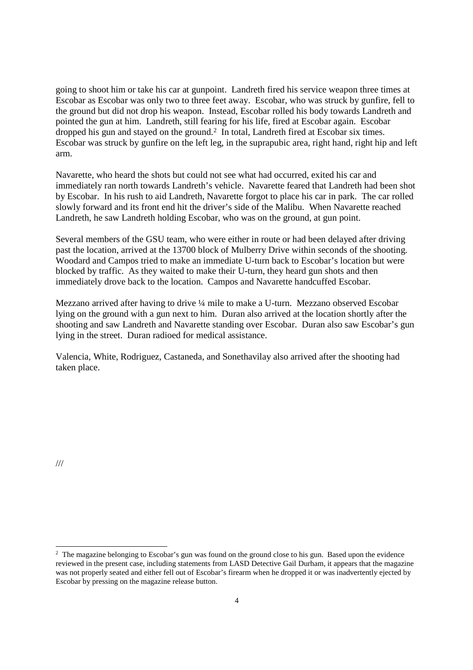going to shoot him or take his car at gunpoint. Landreth fired his service weapon three times at Escobar as Escobar was only two to three feet away. Escobar, who was struck by gunfire, fell to the ground but did not drop his weapon. Instead, Escobar rolled his body towards Landreth and pointed the gun at him. Landreth, still fearing for his life, fired at Escobar again. Escobar dropped his gun and stayed on the ground.<sup>2</sup> In total, Landreth fired at Escobar six times. Escobar was struck by gunfire on the left leg, in the suprapubic area, right hand, right hip and left arm.

Navarette, who heard the shots but could not see what had occurred, exited his car and immediately ran north towards Landreth's vehicle. Navarette feared that Landreth had been shot by Escobar. In his rush to aid Landreth, Navarette forgot to place his car in park. The car rolled slowly forward and its front end hit the driver's side of the Malibu. When Navarette reached Landreth, he saw Landreth holding Escobar, who was on the ground, at gun point.

Several members of the GSU team, who were either in route or had been delayed after driving past the location, arrived at the 13700 block of Mulberry Drive within seconds of the shooting. Woodard and Campos tried to make an immediate U-turn back to Escobar's location but were blocked by traffic. As they waited to make their U-turn, they heard gun shots and then immediately drove back to the location. Campos and Navarette handcuffed Escobar.

Mezzano arrived after having to drive ¼ mile to make a U-turn. Mezzano observed Escobar lying on the ground with a gun next to him. Duran also arrived at the location shortly after the shooting and saw Landreth and Navarette standing over Escobar. Duran also saw Escobar's gun lying in the street. Duran radioed for medical assistance.

Valencia, White, Rodriguez, Castaneda, and Sonethavilay also arrived after the shooting had taken place.

///

<sup>&</sup>lt;sup>2</sup> The magazine belonging to Escobar's gun was found on the ground close to his gun. Based upon the evidence reviewed in the present case, including statements from LASD Detective Gail Durham, it appears that the magazine was not properly seated and either fell out of Escobar's firearm when he dropped it or was inadvertently ejected by Escobar by pressing on the magazine release button.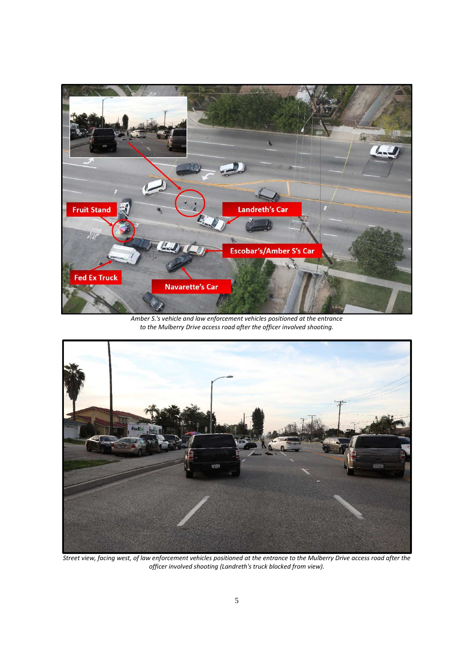

*Amber S.'s vehicle and law enforcement vehicles positioned at the entrance to the Mulberry Drive access road after the officer involved shooting.*



*Street view, facing west, of law enforcement vehicles positioned at the entrance to the Mulberry Drive access road after the officer involved shooting (Landreth's truck blocked from view).*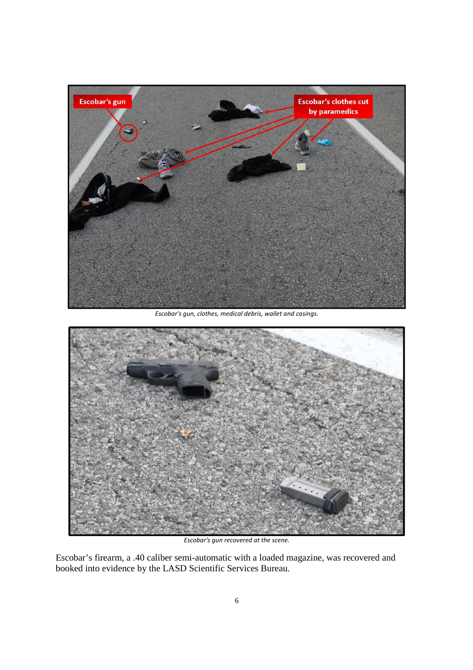

*Escobar's gun, clothes, medical debris, wallet and casings.*



*Escobar's gun recovered at the scene.*

Escobar's firearm, a .40 caliber semi-automatic with a loaded magazine, was recovered and booked into evidence by the LASD Scientific Services Bureau.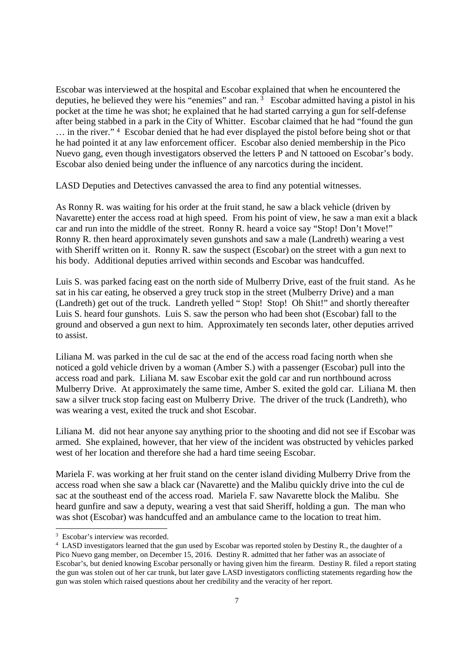Escobar was interviewed at the hospital and Escobar explained that when he encountered the deputies, he believed they were his "enemies" and ran. <sup>3</sup> Escobar admitted having a pistol in his pocket at the time he was shot; he explained that he had started carrying a gun for self-defense after being stabbed in a park in the City of Whitter. Escobar claimed that he had "found the gun … in the river." <sup>4</sup> Escobar denied that he had ever displayed the pistol before being shot or that he had pointed it at any law enforcement officer. Escobar also denied membership in the Pico Nuevo gang, even though investigators observed the letters P and N tattooed on Escobar's body. Escobar also denied being under the influence of any narcotics during the incident.

LASD Deputies and Detectives canvassed the area to find any potential witnesses.

As Ronny R. was waiting for his order at the fruit stand, he saw a black vehicle (driven by Navarette) enter the access road at high speed. From his point of view, he saw a man exit a black car and run into the middle of the street. Ronny R. heard a voice say "Stop! Don't Move!" Ronny R. then heard approximately seven gunshots and saw a male (Landreth) wearing a vest with Sheriff written on it. Ronny R, saw the suspect (Escobar) on the street with a gun next to his body. Additional deputies arrived within seconds and Escobar was handcuffed.

Luis S. was parked facing east on the north side of Mulberry Drive, east of the fruit stand. As he sat in his car eating, he observed a grey truck stop in the street (Mulberry Drive) and a man (Landreth) get out of the truck. Landreth yelled " Stop! Stop! Oh Shit!" and shortly thereafter Luis S. heard four gunshots. Luis S. saw the person who had been shot (Escobar) fall to the ground and observed a gun next to him. Approximately ten seconds later, other deputies arrived to assist.

Liliana M. was parked in the cul de sac at the end of the access road facing north when she noticed a gold vehicle driven by a woman (Amber S.) with a passenger (Escobar) pull into the access road and park. Liliana M. saw Escobar exit the gold car and run northbound across Mulberry Drive. At approximately the same time, Amber S. exited the gold car. Liliana M. then saw a silver truck stop facing east on Mulberry Drive. The driver of the truck (Landreth), who was wearing a vest, exited the truck and shot Escobar.

Liliana M. did not hear anyone say anything prior to the shooting and did not see if Escobar was armed. She explained, however, that her view of the incident was obstructed by vehicles parked west of her location and therefore she had a hard time seeing Escobar.

Mariela F. was working at her fruit stand on the center island dividing Mulberry Drive from the access road when she saw a black car (Navarette) and the Malibu quickly drive into the cul de sac at the southeast end of the access road. Mariela F. saw Navarette block the Malibu. She heard gunfire and saw a deputy, wearing a vest that said Sheriff, holding a gun. The man who was shot (Escobar) was handcuffed and an ambulance came to the location to treat him.

<sup>&</sup>lt;sup>3</sup> Escobar's interview was recorded.

<sup>&</sup>lt;sup>4</sup> LASD investigators learned that the gun used by Escobar was reported stolen by Destiny R., the daughter of a Pico Nuevo gang member, on December 15, 2016. Destiny R. admitted that her father was an associate of Escobar's, but denied knowing Escobar personally or having given him the firearm. Destiny R. filed a report stating the gun was stolen out of her car trunk, but later gave LASD investigators conflicting statements regarding how the gun was stolen which raised questions about her credibility and the veracity of her report.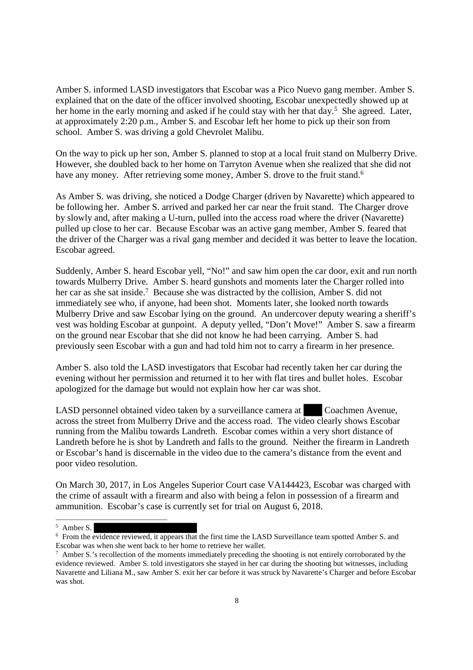Amber S. informed LASD investigators that Escobar was a Pico Nuevo gang member. Amber S. explained that on the date of the officer involved shooting, Escobar unexpectedly showed up at her home in the early morning and asked if he could stay with her that day.<sup>5</sup> She agreed. Later, at approximately 2:20 p.m., Amber S. and Escobar left her home to pick up their son from school. Amber S. was driving a gold Chevrolet Malibu.

On the way to pick up her son, Amber S. planned to stop at a local fruit stand on Mulberry Drive. However, she doubled back to her home on Tarryton Avenue when she realized that she did not have any money. After retrieving some money, Amber S. drove to the fruit stand.<sup>6</sup>

As Amber S. was driving, she noticed a Dodge Charger (driven by Navarette) which appeared to be following her. Amber S. arrived and parked her car near the fruit stand. The Charger drove by slowly and, after making a U-turn, pulled into the access road where the driver (Navarette) pulled up close to her car. Because Escobar was an active gang member, Amber S. feared that the driver of the Charger was a rival gang member and decided it was better to leave the location. Escobar agreed.

Suddenly, Amber S. heard Escobar yell, "No!" and saw him open the car door, exit and run north towards Mulberry Drive. Amber S. heard gunshots and moments later the Charger rolled into her car as she sat inside.<sup>7</sup> Because she was distracted by the collision, Amber S. did not immediately see who, if anyone, had been shot. Moments later, she looked north towards Mulberry Drive and saw Escobar lying on the ground. An undercover deputy wearing a sheriff's vest was holding Escobar at gunpoint. A deputy yelled, "Don't Move!" Amber S. saw a firearm on the ground near Escobar that she did not know he had been carrying. Amber S. had previously seen Escobar with a gun and had told him not to carry a firearm in her presence.

Amber S. also told the LASD investigators that Escobar had recently taken her car during the evening without her permission and returned it to her with flat tires and bullet holes. Escobar apologized for the damage but would not explain how her car was shot.

LASD personnel obtained video taken by a surveillance camera at Coachmen Avenue, across the street from Mulberry Drive and the access road. The video clearly shows Escobar running from the Malibu towards Landreth. Escobar comes within a very short distance of Landreth before he is shot by Landreth and falls to the ground. Neither the firearm in Landreth or Escobar's hand is discernable in the video due to the camera's distance from the event and poor video resolution.

On March 30, 2017, in Los Angeles Superior Court case VA144423, Escobar was charged with the crime of assault with a firearm and also with being a felon in possession of a firearm and ammunition. Escobar's case is currently set for trial on August 6, 2018.

<sup>6</sup> From the evidence reviewed, it appears that the first time the LASD Surveillance team spotted Amber S. and Escobar was when she went back to her home to retrieve her wallet.

<sup>5</sup> Amber S.

 $\frac{7}{1}$  Amber S.'s recollection of the moments immediately preceding the shooting is not entirely corroborated by the evidence reviewed. Amber S. told investigators she stayed in her car during the shooting but witnesses, including Navarette and Liliana M., saw Amber S. exit her car before it was struck by Navarette's Charger and before Escobar was shot.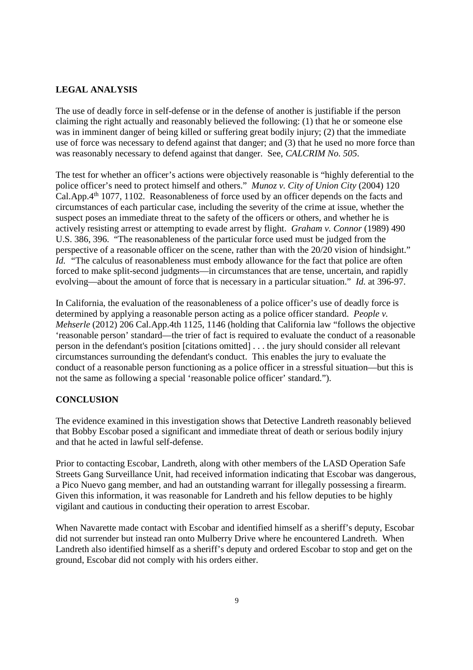### **LEGAL ANALYSIS**

The use of deadly force in self-defense or in the defense of another is justifiable if the person claiming the right actually and reasonably believed the following: (1) that he or someone else was in imminent danger of being killed or suffering great bodily injury; (2) that the immediate use of force was necessary to defend against that danger; and (3) that he used no more force than was reasonably necessary to defend against that danger. See, *CALCRIM No. 505*.

The test for whether an officer's actions were objectively reasonable is "highly deferential to the police officer's need to protect himself and others." *Munoz v. City of Union City* (2004) 120 Cal.App.4th 1077, 1102. Reasonableness of force used by an officer depends on the facts and circumstances of each particular case, including the severity of the crime at issue, whether the suspect poses an immediate threat to the safety of the officers or others, and whether he is actively resisting arrest or attempting to evade arrest by flight. *Graham v. Connor* (1989) 490 U.S. 386, 396. "The reasonableness of the particular force used must be judged from the perspective of a reasonable officer on the scene, rather than with the 20/20 vision of hindsight." *Id.* "The calculus of reasonableness must embody allowance for the fact that police are often forced to make split-second judgments—in circumstances that are tense, uncertain, and rapidly evolving—about the amount of force that is necessary in a particular situation." *Id.* at 396-97.

In California, the evaluation of the reasonableness of a police officer's use of deadly force is determined by applying a reasonable person acting as a police officer standard. *People v. Mehserle* (2012) 206 Cal.App.4th 1125, 1146 (holding that California law "follows the objective 'reasonable person' standard—the trier of fact is required to evaluate the conduct of a reasonable person in the defendant's position [citations omitted] . . . the jury should consider all relevant circumstances surrounding the defendant's conduct. This enables the jury to evaluate the conduct of a reasonable person functioning as a police officer in a stressful situation—but this is not the same as following a special 'reasonable police officer' standard.").

#### **CONCLUSION**

The evidence examined in this investigation shows that Detective Landreth reasonably believed that Bobby Escobar posed a significant and immediate threat of death or serious bodily injury and that he acted in lawful self-defense.

Prior to contacting Escobar, Landreth, along with other members of the LASD Operation Safe Streets Gang Surveillance Unit, had received information indicating that Escobar was dangerous, a Pico Nuevo gang member, and had an outstanding warrant for illegally possessing a firearm. Given this information, it was reasonable for Landreth and his fellow deputies to be highly vigilant and cautious in conducting their operation to arrest Escobar.

When Navarette made contact with Escobar and identified himself as a sheriff's deputy, Escobar did not surrender but instead ran onto Mulberry Drive where he encountered Landreth. When Landreth also identified himself as a sheriff's deputy and ordered Escobar to stop and get on the ground, Escobar did not comply with his orders either.